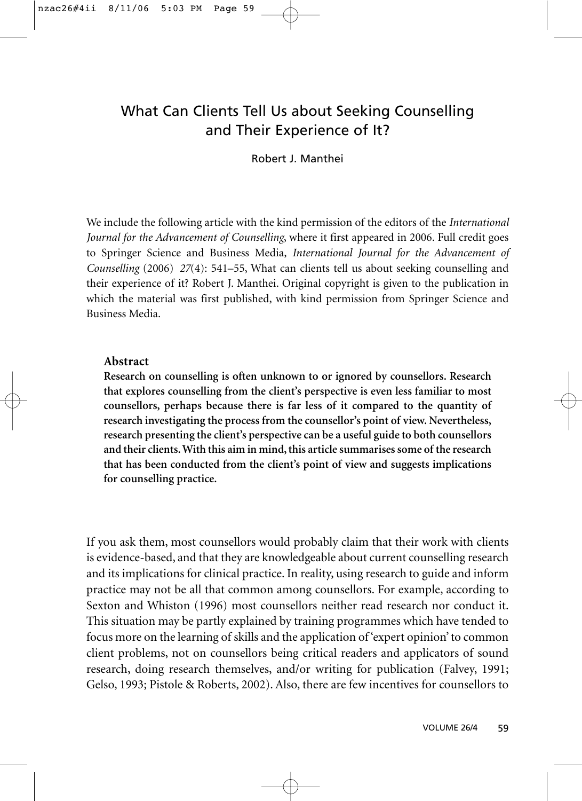# What Can Clients Tell Us about Seeking Counselling and Their Experience of It?

Robert J. Manthei

We include the following article with the kind permission of the editors of the *International Journal for the Advancement of Counselling*, where it first appeared in 2006. Full credit goes to Springer Science and Business Media, *International Journal for the Advancement of Counselling* (2006) *27*(4): 541–55, What can clients tell us about seeking counselling and their experience of it? Robert J. Manthei. Original copyright is given to the publication in which the material was first published, with kind permission from Springer Science and Business Media.

#### **Abstract**

**Research on counselling is often unknown to or ignored by counsellors. Research that explores counselling from the client's perspective is even less familiar to most counsellors, perhaps because there is far less of it compared to the quantity of research investigating the process from the counsellor's point of view. Nevertheless, research presenting the client's perspective can be a useful guide to both counsellors and their clients. With this aim in mind, this article summarises some of the research that has been conducted from the client's point of view and suggests implications for counselling practice.**

If you ask them, most counsellors would probably claim that their work with clients is evidence-based, and that they are knowledgeable about current counselling research and its implications for clinical practice. In reality, using research to guide and inform practice may not be all that common among counsellors. For example, according to Sexton and Whiston (1996) most counsellors neither read research nor conduct it. This situation may be partly explained by training programmes which have tended to focus more on the learning of skills and the application of 'expert opinion' to common client problems, not on counsellors being critical readers and applicators of sound research, doing research themselves, and/or writing for publication (Falvey, 1991; Gelso, 1993; Pistole & Roberts, 2002). Also, there are few incentives for counsellors to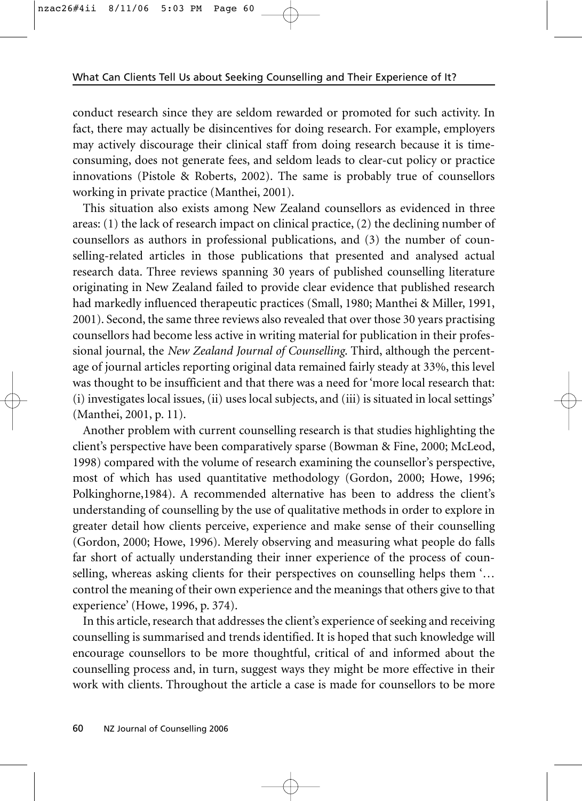conduct research since they are seldom rewarded or promoted for such activity. In fact, there may actually be disincentives for doing research. For example, employers may actively discourage their clinical staff from doing research because it is timeconsuming, does not generate fees, and seldom leads to clear-cut policy or practice innovations (Pistole & Roberts, 2002). The same is probably true of counsellors working in private practice (Manthei, 2001).

This situation also exists among New Zealand counsellors as evidenced in three areas: (1) the lack of research impact on clinical practice, (2) the declining number of counsellors as authors in professional publications, and (3) the number of counselling-related articles in those publications that presented and analysed actual research data. Three reviews spanning 30 years of published counselling literature originating in New Zealand failed to provide clear evidence that published research had markedly influenced therapeutic practices (Small, 1980; Manthei & Miller, 1991, 2001). Second, the same three reviews also revealed that over those 30 years practising counsellors had become less active in writing material for publication in their professional journal, the *New Zealand Journal of Counselling*. Third, although the percentage of journal articles reporting original data remained fairly steady at 33%, this level was thought to be insufficient and that there was a need for 'more local research that: (i) investigates local issues, (ii) uses local subjects, and (iii) is situated in local settings' (Manthei, 2001, p. 11).

Another problem with current counselling research is that studies highlighting the client's perspective have been comparatively sparse (Bowman & Fine, 2000; McLeod, 1998) compared with the volume of research examining the counsellor's perspective, most of which has used quantitative methodology (Gordon, 2000; Howe, 1996; Polkinghorne,1984). A recommended alternative has been to address the client's understanding of counselling by the use of qualitative methods in order to explore in greater detail how clients perceive, experience and make sense of their counselling (Gordon, 2000; Howe, 1996). Merely observing and measuring what people do falls far short of actually understanding their inner experience of the process of counselling, whereas asking clients for their perspectives on counselling helps them '… control the meaning of their own experience and the meanings that others give to that experience' (Howe, 1996, p. 374).

In this article, research that addresses the client's experience of seeking and receiving counselling is summarised and trends identified. It is hoped that such knowledge will encourage counsellors to be more thoughtful, critical of and informed about the counselling process and, in turn, suggest ways they might be more effective in their work with clients. Throughout the article a case is made for counsellors to be more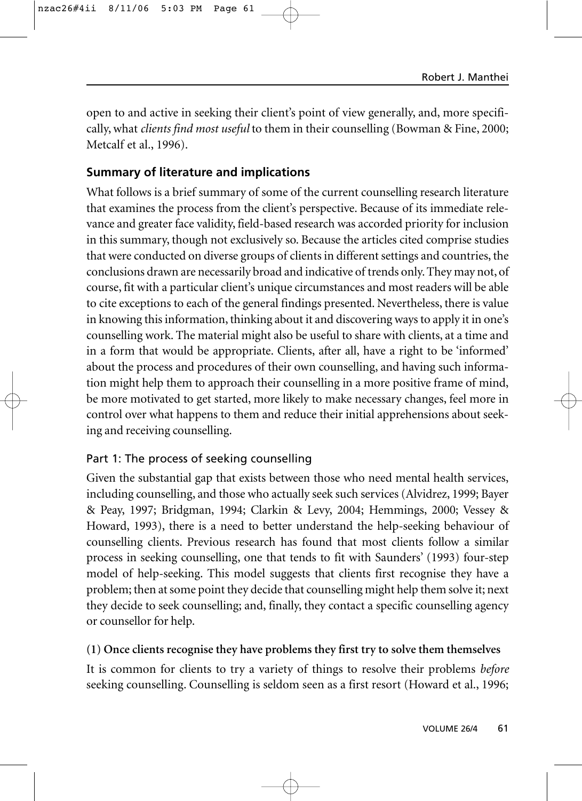open to and active in seeking their client's point of view generally, and, more specifically, what *clients find most useful* to them in their counselling (Bowman & Fine, 2000; Metcalf et al., 1996).

### **Summary of literature and implications**

What follows is a brief summary of some of the current counselling research literature that examines the process from the client's perspective. Because of its immediate relevance and greater face validity, field-based research was accorded priority for inclusion in this summary, though not exclusively so. Because the articles cited comprise studies that were conducted on diverse groups of clients in different settings and countries, the conclusions drawn are necessarily broad and indicative of trends only. They may not, of course, fit with a particular client's unique circumstances and most readers will be able to cite exceptions to each of the general findings presented. Nevertheless, there is value in knowing this information, thinking about it and discovering ways to apply it in one's counselling work. The material might also be useful to share with clients, at a time and in a form that would be appropriate. Clients, after all, have a right to be 'informed' about the process and procedures of their own counselling, and having such information might help them to approach their counselling in a more positive frame of mind, be more motivated to get started, more likely to make necessary changes, feel more in control over what happens to them and reduce their initial apprehensions about seeking and receiving counselling.

#### Part 1: The process of seeking counselling

Given the substantial gap that exists between those who need mental health services, including counselling, and those who actually seek such services (Alvidrez, 1999; Bayer & Peay, 1997; Bridgman, 1994; Clarkin & Levy, 2004; Hemmings, 2000; Vessey & Howard, 1993), there is a need to better understand the help-seeking behaviour of counselling clients. Previous research has found that most clients follow a similar process in seeking counselling, one that tends to fit with Saunders' (1993) four-step model of help-seeking. This model suggests that clients first recognise they have a problem; then at some point they decide that counselling might help them solve it; next they decide to seek counselling; and, finally, they contact a specific counselling agency or counsellor for help.

#### **(1) Once clients recognise they have problems they first try to solve them themselves**

It is common for clients to try a variety of things to resolve their problems *before* seeking counselling. Counselling is seldom seen as a first resort (Howard et al., 1996;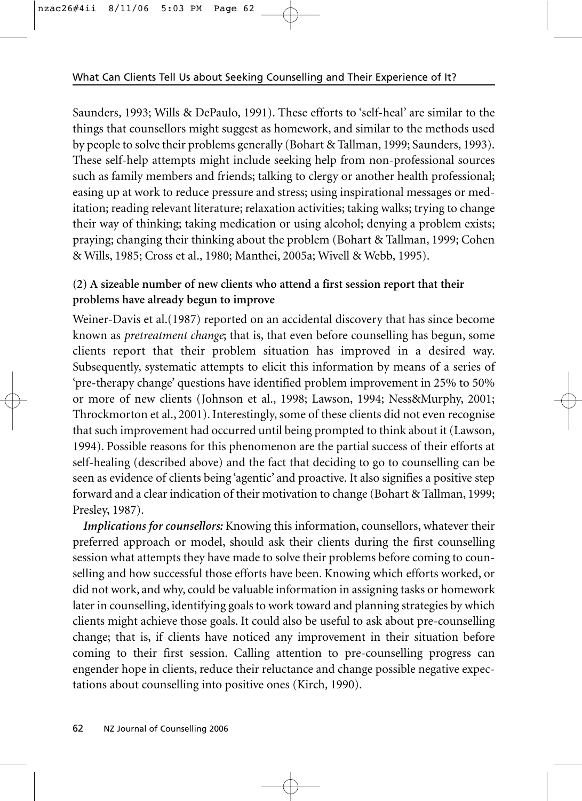Saunders, 1993; Wills & DePaulo, 1991). These efforts to 'self-heal' are similar to the things that counsellors might suggest as homework, and similar to the methods used by people to solve their problems generally (Bohart & Tallman, 1999; Saunders, 1993). These self-help attempts might include seeking help from non-professional sources such as family members and friends; talking to clergy or another health professional; easing up at work to reduce pressure and stress; using inspirational messages or meditation; reading relevant literature; relaxation activities; taking walks; trying to change their way of thinking; taking medication or using alcohol; denying a problem exists; praying; changing their thinking about the problem (Bohart & Tallman, 1999; Cohen & Wills, 1985; Cross et al., 1980; Manthei, 2005a; Wivell & Webb, 1995).

## **(2) A sizeable number of new clients who attend a first session report that their problems have already begun to improve**

Weiner-Davis et al.(1987) reported on an accidental discovery that has since become known as *pretreatment change*; that is, that even before counselling has begun, some clients report that their problem situation has improved in a desired way. Subsequently, systematic attempts to elicit this information by means of a series of 'pre-therapy change' questions have identified problem improvement in 25% to 50% or more of new clients (Johnson et al., 1998; Lawson, 1994; Ness&Murphy, 2001; Throckmorton et al., 2001). Interestingly, some of these clients did not even recognise that such improvement had occurred until being prompted to think about it (Lawson, 1994). Possible reasons for this phenomenon are the partial success of their efforts at self-healing (described above) and the fact that deciding to go to counselling can be seen as evidence of clients being 'agentic' and proactive. It also signifies a positive step forward and a clear indication of their motivation to change (Bohart & Tallman, 1999; Presley, 1987).

*Implications for counsellors:* Knowing this information, counsellors, whatever their preferred approach or model, should ask their clients during the first counselling session what attempts they have made to solve their problems before coming to counselling and how successful those efforts have been. Knowing which efforts worked, or did not work, and why, could be valuable information in assigning tasks or homework later in counselling, identifying goals to work toward and planning strategies by which clients might achieve those goals. It could also be useful to ask about pre-counselling change; that is, if clients have noticed any improvement in their situation before coming to their first session. Calling attention to pre-counselling progress can engender hope in clients, reduce their reluctance and change possible negative expectations about counselling into positive ones (Kirch, 1990).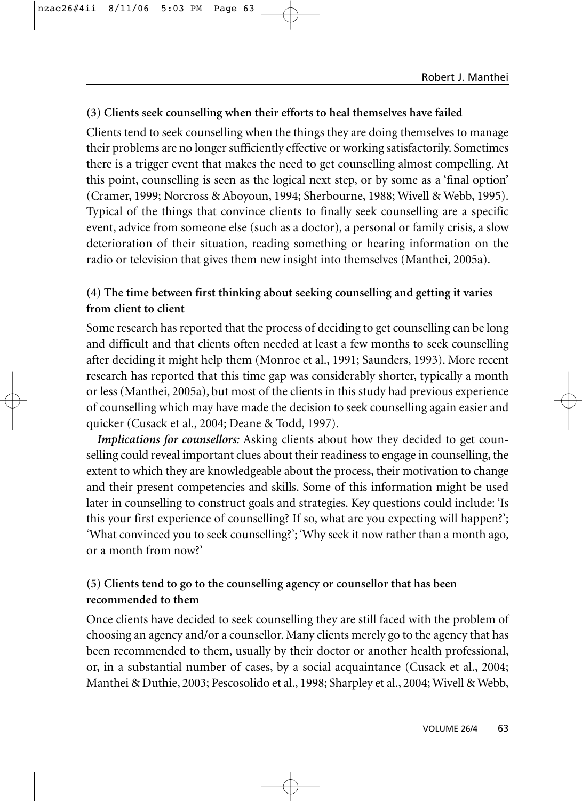### **(3) Clients seek counselling when their efforts to heal themselves have failed**

Clients tend to seek counselling when the things they are doing themselves to manage their problems are no longer sufficiently effective or working satisfactorily. Sometimes there is a trigger event that makes the need to get counselling almost compelling. At this point, counselling is seen as the logical next step, or by some as a 'final option' (Cramer, 1999; Norcross & Aboyoun, 1994; Sherbourne, 1988; Wivell & Webb, 1995). Typical of the things that convince clients to finally seek counselling are a specific event, advice from someone else (such as a doctor), a personal or family crisis, a slow deterioration of their situation, reading something or hearing information on the radio or television that gives them new insight into themselves (Manthei, 2005a).

## **(4) The time between first thinking about seeking counselling and getting it varies from client to client**

Some research has reported that the process of deciding to get counselling can be long and difficult and that clients often needed at least a few months to seek counselling after deciding it might help them (Monroe et al., 1991; Saunders, 1993). More recent research has reported that this time gap was considerably shorter, typically a month or less (Manthei, 2005a), but most of the clients in this study had previous experience of counselling which may have made the decision to seek counselling again easier and quicker (Cusack et al., 2004; Deane & Todd, 1997).

*Implications for counsellors:* Asking clients about how they decided to get counselling could reveal important clues about their readiness to engage in counselling, the extent to which they are knowledgeable about the process, their motivation to change and their present competencies and skills. Some of this information might be used later in counselling to construct goals and strategies. Key questions could include: 'Is this your first experience of counselling? If so, what are you expecting will happen?'; 'What convinced you to seek counselling?'; 'Why seek it now rather than a month ago, or a month from now?'

## **(5) Clients tend to go to the counselling agency or counsellor that has been recommended to them**

Once clients have decided to seek counselling they are still faced with the problem of choosing an agency and/or a counsellor. Many clients merely go to the agency that has been recommended to them, usually by their doctor or another health professional, or, in a substantial number of cases, by a social acquaintance (Cusack et al., 2004; Manthei & Duthie, 2003; Pescosolido et al., 1998; Sharpley et al., 2004; Wivell & Webb,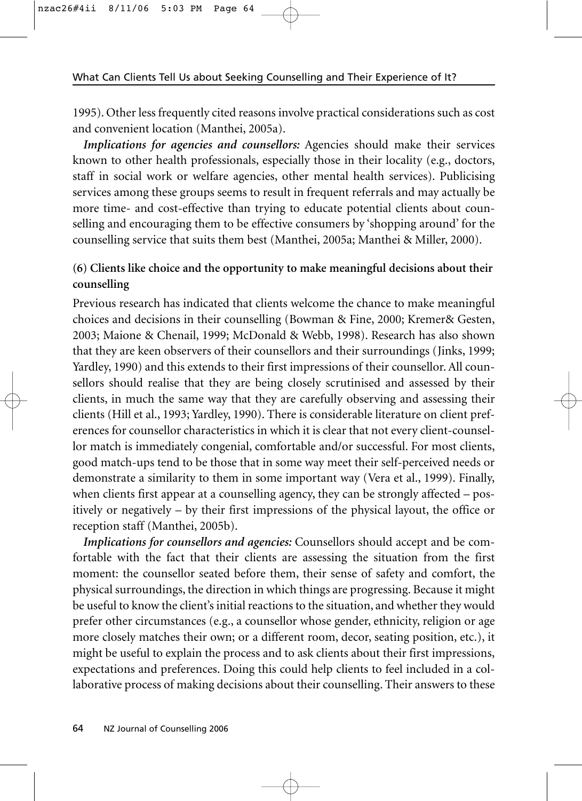1995). Other less frequently cited reasons involve practical considerations such as cost and convenient location (Manthei, 2005a).

*Implications for agencies and counsellors:* Agencies should make their services known to other health professionals, especially those in their locality (e.g., doctors, staff in social work or welfare agencies, other mental health services). Publicising services among these groups seems to result in frequent referrals and may actually be more time- and cost-effective than trying to educate potential clients about counselling and encouraging them to be effective consumers by 'shopping around' for the counselling service that suits them best (Manthei, 2005a; Manthei & Miller, 2000).

## **(6) Clients like choice and the opportunity to make meaningful decisions about their counselling**

Previous research has indicated that clients welcome the chance to make meaningful choices and decisions in their counselling (Bowman & Fine, 2000; Kremer& Gesten, 2003; Maione & Chenail, 1999; McDonald & Webb, 1998). Research has also shown that they are keen observers of their counsellors and their surroundings (Jinks, 1999; Yardley, 1990) and this extends to their first impressions of their counsellor. All counsellors should realise that they are being closely scrutinised and assessed by their clients, in much the same way that they are carefully observing and assessing their clients (Hill et al., 1993; Yardley, 1990). There is considerable literature on client preferences for counsellor characteristics in which it is clear that not every client-counsellor match is immediately congenial, comfortable and/or successful. For most clients, good match-ups tend to be those that in some way meet their self-perceived needs or demonstrate a similarity to them in some important way (Vera et al., 1999). Finally, when clients first appear at a counselling agency, they can be strongly affected – positively or negatively – by their first impressions of the physical layout, the office or reception staff (Manthei, 2005b).

*Implications for counsellors and agencies:* Counsellors should accept and be comfortable with the fact that their clients are assessing the situation from the first moment: the counsellor seated before them, their sense of safety and comfort, the physical surroundings, the direction in which things are progressing. Because it might be useful to know the client's initial reactions to the situation, and whether they would prefer other circumstances (e.g., a counsellor whose gender, ethnicity, religion or age more closely matches their own; or a different room, decor, seating position, etc.), it might be useful to explain the process and to ask clients about their first impressions, expectations and preferences. Doing this could help clients to feel included in a collaborative process of making decisions about their counselling. Their answers to these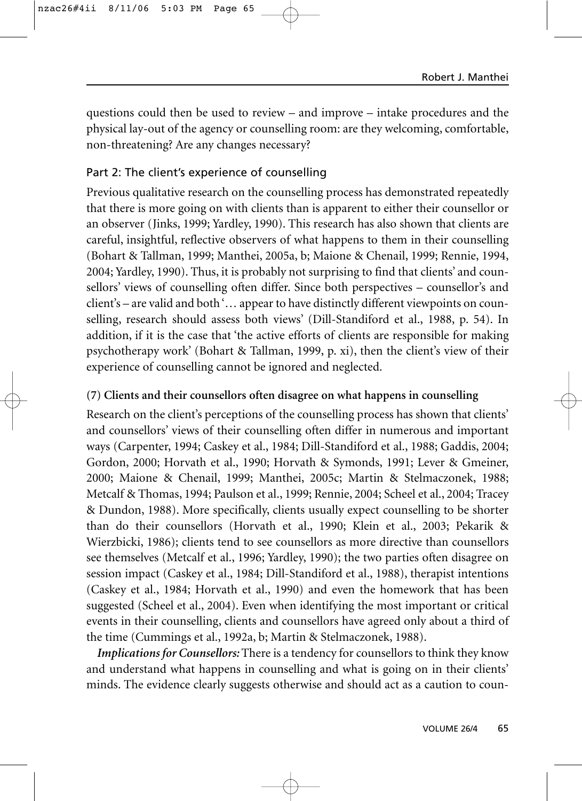questions could then be used to review – and improve – intake procedures and the physical lay-out of the agency or counselling room: are they welcoming, comfortable, non-threatening? Are any changes necessary?

### Part 2: The client's experience of counselling

Previous qualitative research on the counselling process has demonstrated repeatedly that there is more going on with clients than is apparent to either their counsellor or an observer (Jinks, 1999; Yardley, 1990). This research has also shown that clients are careful, insightful, reflective observers of what happens to them in their counselling (Bohart & Tallman, 1999; Manthei, 2005a, b; Maione & Chenail, 1999; Rennie, 1994, 2004; Yardley, 1990). Thus, it is probably not surprising to find that clients' and counsellors' views of counselling often differ. Since both perspectives – counsellor's and client's – are valid and both '… appear to have distinctly different viewpoints on counselling, research should assess both views' (Dill-Standiford et al., 1988, p. 54). In addition, if it is the case that 'the active efforts of clients are responsible for making psychotherapy work' (Bohart & Tallman, 1999, p. xi), then the client's view of their experience of counselling cannot be ignored and neglected.

#### **(7) Clients and their counsellors often disagree on what happens in counselling**

Research on the client's perceptions of the counselling process has shown that clients' and counsellors' views of their counselling often differ in numerous and important ways (Carpenter, 1994; Caskey et al., 1984; Dill-Standiford et al., 1988; Gaddis, 2004; Gordon, 2000; Horvath et al., 1990; Horvath & Symonds, 1991; Lever & Gmeiner, 2000; Maione & Chenail, 1999; Manthei, 2005c; Martin & Stelmaczonek, 1988; Metcalf & Thomas, 1994; Paulson et al., 1999; Rennie, 2004; Scheel et al., 2004; Tracey & Dundon, 1988). More specifically, clients usually expect counselling to be shorter than do their counsellors (Horvath et al., 1990; Klein et al., 2003; Pekarik & Wierzbicki, 1986); clients tend to see counsellors as more directive than counsellors see themselves (Metcalf et al., 1996; Yardley, 1990); the two parties often disagree on session impact (Caskey et al., 1984; Dill-Standiford et al., 1988), therapist intentions (Caskey et al., 1984; Horvath et al., 1990) and even the homework that has been suggested (Scheel et al., 2004). Even when identifying the most important or critical events in their counselling, clients and counsellors have agreed only about a third of the time (Cummings et al., 1992a, b; Martin & Stelmaczonek, 1988).

*Implications for Counsellors:* There is a tendency for counsellors to think they know and understand what happens in counselling and what is going on in their clients' minds. The evidence clearly suggests otherwise and should act as a caution to coun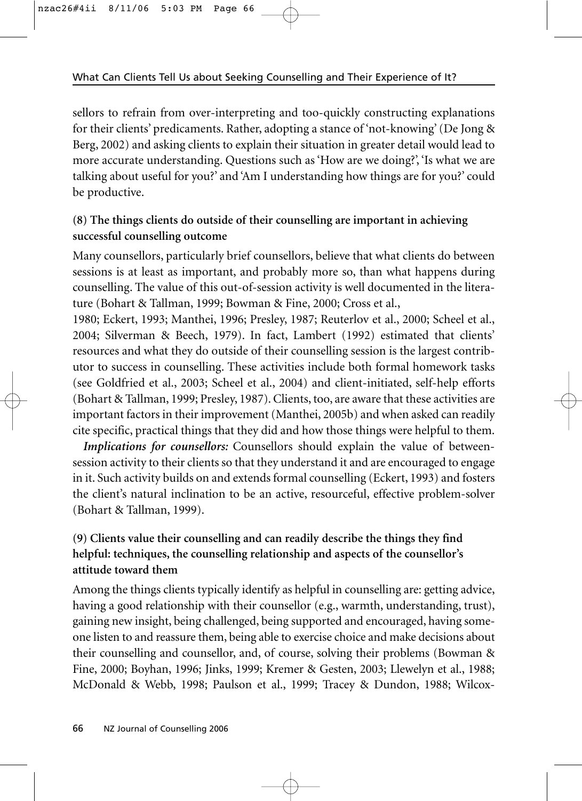sellors to refrain from over-interpreting and too-quickly constructing explanations for their clients' predicaments. Rather, adopting a stance of 'not-knowing' (De Jong & Berg, 2002) and asking clients to explain their situation in greater detail would lead to more accurate understanding. Questions such as 'How are we doing?', 'Is what we are talking about useful for you?' and 'Am I understanding how things are for you?' could be productive.

## **(8) The things clients do outside of their counselling are important in achieving successful counselling outcome**

Many counsellors, particularly brief counsellors, believe that what clients do between sessions is at least as important, and probably more so, than what happens during counselling. The value of this out-of-session activity is well documented in the literature (Bohart & Tallman, 1999; Bowman & Fine, 2000; Cross et al.,

1980; Eckert, 1993; Manthei, 1996; Presley, 1987; Reuterlov et al., 2000; Scheel et al., 2004; Silverman & Beech, 1979). In fact, Lambert (1992) estimated that clients' resources and what they do outside of their counselling session is the largest contributor to success in counselling. These activities include both formal homework tasks (see Goldfried et al., 2003; Scheel et al., 2004) and client-initiated, self-help efforts (Bohart & Tallman, 1999; Presley, 1987). Clients, too, are aware that these activities are important factors in their improvement (Manthei, 2005b) and when asked can readily cite specific, practical things that they did and how those things were helpful to them.

*Implications for counsellors:* Counsellors should explain the value of betweensession activity to their clients so that they understand it and are encouraged to engage in it. Such activity builds on and extends formal counselling (Eckert, 1993) and fosters the client's natural inclination to be an active, resourceful, effective problem-solver (Bohart & Tallman, 1999).

## **(9) Clients value their counselling and can readily describe the things they find helpful: techniques, the counselling relationship and aspects of the counsellor's attitude toward them**

Among the things clients typically identify as helpful in counselling are: getting advice, having a good relationship with their counsellor (e.g., warmth, understanding, trust), gaining new insight, being challenged, being supported and encouraged, having someone listen to and reassure them, being able to exercise choice and make decisions about their counselling and counsellor, and, of course, solving their problems (Bowman & Fine, 2000; Boyhan, 1996; Jinks, 1999; Kremer & Gesten, 2003; Llewelyn et al., 1988; McDonald & Webb, 1998; Paulson et al., 1999; Tracey & Dundon, 1988; Wilcox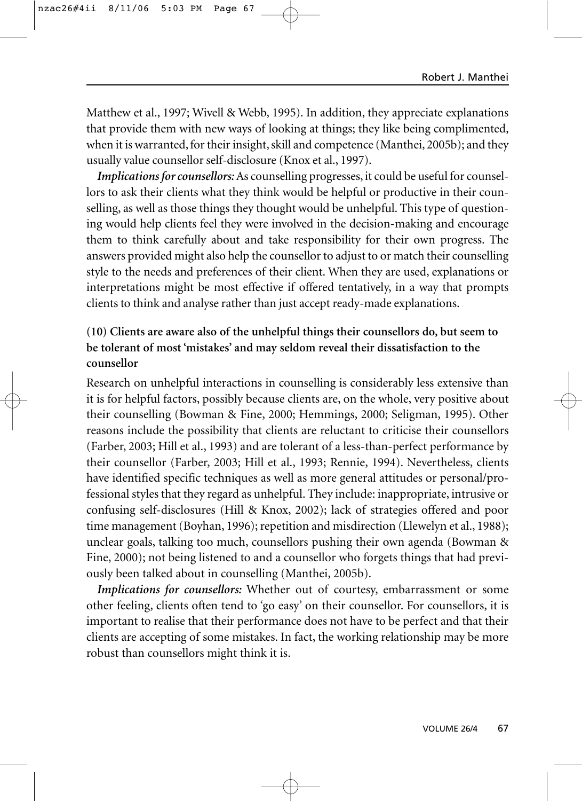Matthew et al., 1997; Wivell & Webb, 1995). In addition, they appreciate explanations that provide them with new ways of looking at things; they like being complimented, when it is warranted, for their insight, skill and competence (Manthei, 2005b); and they usually value counsellor self-disclosure (Knox et al., 1997).

*Implications for counsellors:* As counselling progresses, it could be useful for counsellors to ask their clients what they think would be helpful or productive in their counselling, as well as those things they thought would be unhelpful. This type of questioning would help clients feel they were involved in the decision-making and encourage them to think carefully about and take responsibility for their own progress. The answers provided might also help the counsellor to adjust to or match their counselling style to the needs and preferences of their client. When they are used, explanations or interpretations might be most effective if offered tentatively, in a way that prompts clients to think and analyse rather than just accept ready-made explanations.

## **(10) Clients are aware also of the unhelpful things their counsellors do, but seem to be tolerant of most 'mistakes' and may seldom reveal their dissatisfaction to the counsellor**

Research on unhelpful interactions in counselling is considerably less extensive than it is for helpful factors, possibly because clients are, on the whole, very positive about their counselling (Bowman & Fine, 2000; Hemmings, 2000; Seligman, 1995). Other reasons include the possibility that clients are reluctant to criticise their counsellors (Farber, 2003; Hill et al., 1993) and are tolerant of a less-than-perfect performance by their counsellor (Farber, 2003; Hill et al., 1993; Rennie, 1994). Nevertheless, clients have identified specific techniques as well as more general attitudes or personal/professional styles that they regard as unhelpful. They include: inappropriate, intrusive or confusing self-disclosures (Hill & Knox, 2002); lack of strategies offered and poor time management (Boyhan, 1996); repetition and misdirection (Llewelyn et al., 1988); unclear goals, talking too much, counsellors pushing their own agenda (Bowman & Fine, 2000); not being listened to and a counsellor who forgets things that had previously been talked about in counselling (Manthei, 2005b).

*Implications for counsellors:* Whether out of courtesy, embarrassment or some other feeling, clients often tend to 'go easy' on their counsellor. For counsellors, it is important to realise that their performance does not have to be perfect and that their clients are accepting of some mistakes. In fact, the working relationship may be more robust than counsellors might think it is.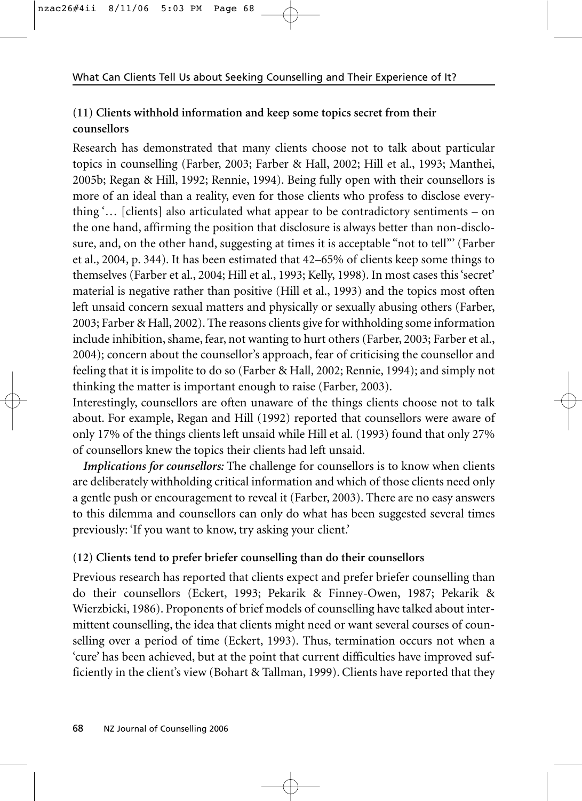## **(11) Clients withhold information and keep some topics secret from their counsellors**

Research has demonstrated that many clients choose not to talk about particular topics in counselling (Farber, 2003; Farber & Hall, 2002; Hill et al., 1993; Manthei, 2005b; Regan & Hill, 1992; Rennie, 1994). Being fully open with their counsellors is more of an ideal than a reality, even for those clients who profess to disclose everything '… [clients] also articulated what appear to be contradictory sentiments – on the one hand, affirming the position that disclosure is always better than non-disclosure, and, on the other hand, suggesting at times it is acceptable "not to tell"' (Farber et al., 2004, p. 344). It has been estimated that 42–65% of clients keep some things to themselves (Farber et al., 2004; Hill et al., 1993; Kelly, 1998). In most cases this 'secret' material is negative rather than positive (Hill et al., 1993) and the topics most often left unsaid concern sexual matters and physically or sexually abusing others (Farber, 2003; Farber & Hall, 2002). The reasons clients give for withholding some information include inhibition, shame, fear, not wanting to hurt others (Farber, 2003; Farber et al., 2004); concern about the counsellor's approach, fear of criticising the counsellor and feeling that it is impolite to do so (Farber & Hall, 2002; Rennie, 1994); and simply not thinking the matter is important enough to raise (Farber, 2003).

Interestingly, counsellors are often unaware of the things clients choose not to talk about. For example, Regan and Hill (1992) reported that counsellors were aware of only 17% of the things clients left unsaid while Hill et al. (1993) found that only 27% of counsellors knew the topics their clients had left unsaid.

*Implications for counsellors:* The challenge for counsellors is to know when clients are deliberately withholding critical information and which of those clients need only a gentle push or encouragement to reveal it (Farber, 2003). There are no easy answers to this dilemma and counsellors can only do what has been suggested several times previously: 'If you want to know, try asking your client.'

#### **(12) Clients tend to prefer briefer counselling than do their counsellors**

Previous research has reported that clients expect and prefer briefer counselling than do their counsellors (Eckert, 1993; Pekarik & Finney-Owen, 1987; Pekarik & Wierzbicki, 1986). Proponents of brief models of counselling have talked about intermittent counselling, the idea that clients might need or want several courses of counselling over a period of time (Eckert, 1993). Thus, termination occurs not when a 'cure' has been achieved, but at the point that current difficulties have improved sufficiently in the client's view (Bohart & Tallman, 1999). Clients have reported that they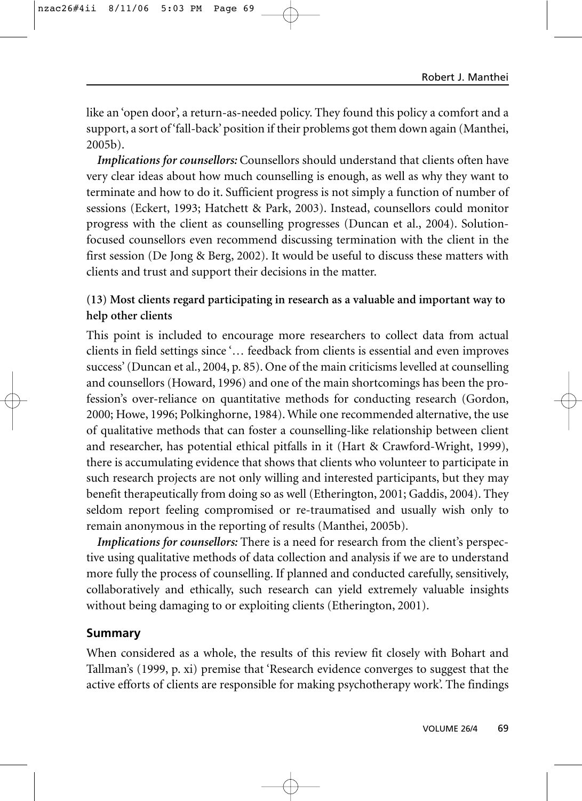like an 'open door', a return-as-needed policy. They found this policy a comfort and a support, a sort of 'fall-back' position if their problems got them down again (Manthei, 2005b).

*Implications for counsellors:* Counsellors should understand that clients often have very clear ideas about how much counselling is enough, as well as why they want to terminate and how to do it. Sufficient progress is not simply a function of number of sessions (Eckert, 1993; Hatchett & Park, 2003). Instead, counsellors could monitor progress with the client as counselling progresses (Duncan et al., 2004). Solutionfocused counsellors even recommend discussing termination with the client in the first session (De Jong & Berg, 2002). It would be useful to discuss these matters with clients and trust and support their decisions in the matter.

## **(13) Most clients regard participating in research as a valuable and important way to help other clients**

This point is included to encourage more researchers to collect data from actual clients in field settings since '… feedback from clients is essential and even improves success' (Duncan et al., 2004, p. 85). One of the main criticisms levelled at counselling and counsellors (Howard, 1996) and one of the main shortcomings has been the profession's over-reliance on quantitative methods for conducting research (Gordon, 2000; Howe, 1996; Polkinghorne, 1984). While one recommended alternative, the use of qualitative methods that can foster a counselling-like relationship between client and researcher, has potential ethical pitfalls in it (Hart & Crawford-Wright, 1999), there is accumulating evidence that shows that clients who volunteer to participate in such research projects are not only willing and interested participants, but they may benefit therapeutically from doing so as well (Etherington, 2001; Gaddis, 2004). They seldom report feeling compromised or re-traumatised and usually wish only to remain anonymous in the reporting of results (Manthei, 2005b).

*Implications for counsellors:* There is a need for research from the client's perspective using qualitative methods of data collection and analysis if we are to understand more fully the process of counselling. If planned and conducted carefully, sensitively, collaboratively and ethically, such research can yield extremely valuable insights without being damaging to or exploiting clients (Etherington, 2001).

#### **Summary**

When considered as a whole, the results of this review fit closely with Bohart and Tallman's (1999, p. xi) premise that 'Research evidence converges to suggest that the active efforts of clients are responsible for making psychotherapy work'. The findings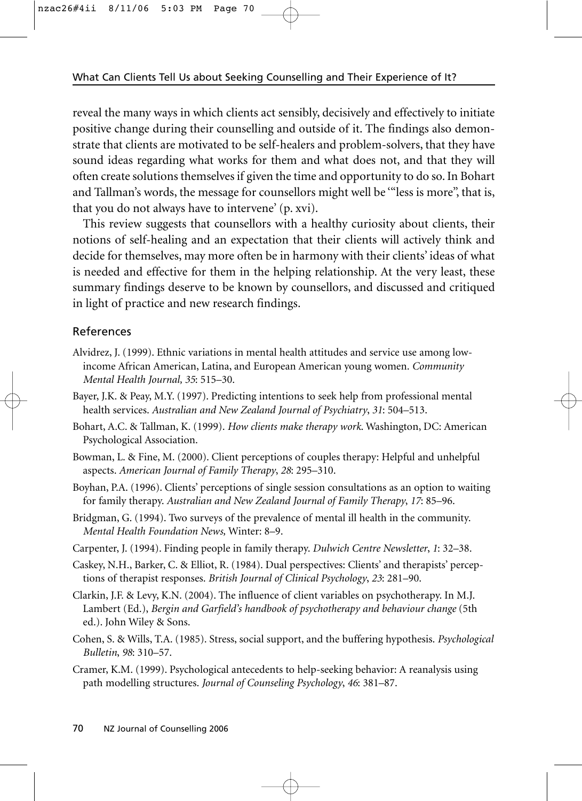reveal the many ways in which clients act sensibly, decisively and effectively to initiate positive change during their counselling and outside of it. The findings also demonstrate that clients are motivated to be self-healers and problem-solvers, that they have sound ideas regarding what works for them and what does not, and that they will often create solutions themselves if given the time and opportunity to do so. In Bohart and Tallman's words, the message for counsellors might well be '"less is more", that is, that you do not always have to intervene' (p. xvi).

This review suggests that counsellors with a healthy curiosity about clients, their notions of self-healing and an expectation that their clients will actively think and decide for themselves, may more often be in harmony with their clients' ideas of what is needed and effective for them in the helping relationship. At the very least, these summary findings deserve to be known by counsellors, and discussed and critiqued in light of practice and new research findings.

#### References

- Alvidrez, J. (1999). Ethnic variations in mental health attitudes and service use among lowincome African American, Latina, and European American young women. *Community Mental Health Journal, 35*: 515–30.
- Bayer, J.K. & Peay, M.Y. (1997). Predicting intentions to seek help from professional mental health services. *Australian and New Zealand Journal of Psychiatry*, *31*: 504–513.
- Bohart, A.C. & Tallman, K. (1999). *How clients make therapy work*. Washington, DC: American Psychological Association.
- Bowman, L. & Fine, M. (2000). Client perceptions of couples therapy: Helpful and unhelpful aspects. *American Journal of Family Therapy*, *28*: 295–310.
- Boyhan, P.A. (1996). Clients' perceptions of single session consultations as an option to waiting for family therapy. *Australian and New Zealand Journal of Family Therapy*, *17*: 85–96.
- Bridgman, G. (1994). Two surveys of the prevalence of mental ill health in the community. *Mental Health Foundation News,* Winter: 8–9.
- Carpenter, J. (1994). Finding people in family therapy. *Dulwich Centre Newsletter*, *1*: 32–38.
- Caskey, N.H., Barker, C. & Elliot, R. (1984). Dual perspectives: Clients' and therapists' perceptions of therapist responses. *British Journal of Clinical Psychology*, *23*: 281–90.
- Clarkin, J.F. & Levy, K.N. (2004). The influence of client variables on psychotherapy. In M.J. Lambert (Ed.), *Bergin and Garfield's handbook of psychotherapy and behaviour change* (5th ed.). John Wiley & Sons.
- Cohen, S. & Wills, T.A. (1985). Stress, social support, and the buffering hypothesis. *Psychological Bulletin*, *98*: 310–57.
- Cramer, K.M. (1999). Psychological antecedents to help-seeking behavior: A reanalysis using path modelling structures. *Journal of Counseling Psychology*, *46*: 381–87.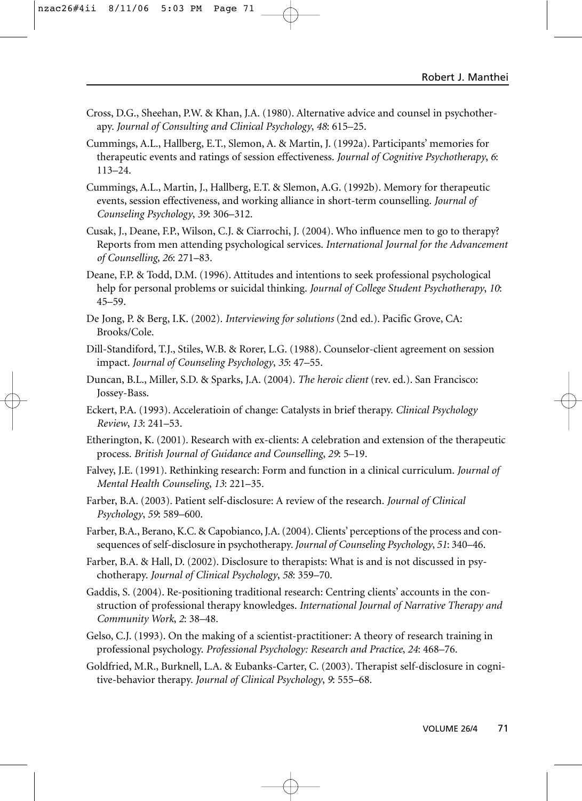- Cross, D.G., Sheehan, P.W. & Khan, J.A. (1980). Alternative advice and counsel in psychotherapy. *Journal of Consulting and Clinical Psychology*, *48*: 615–25.
- Cummings, A.L., Hallberg, E.T., Slemon, A. & Martin, J. (1992a). Participants' memories for therapeutic events and ratings of session effectiveness. *Journal of Cognitive Psychotherapy*, *6*: 113–24.
- Cummings, A.L., Martin, J., Hallberg, E.T. & Slemon, A.G. (1992b). Memory for therapeutic events, session effectiveness, and working alliance in short-term counselling. *Journal of Counseling Psychology*, *39*: 306–312.
- Cusak, J., Deane, F.P., Wilson, C.J. & Ciarrochi, J. (2004). Who influence men to go to therapy? Reports from men attending psychological services. *International Journal for the Advancement of Counselling*, *26*: 271–83.
- Deane, F.P. & Todd, D.M. (1996). Attitudes and intentions to seek professional psychological help for personal problems or suicidal thinking. *Journal of College Student Psychotherapy*, *10*: 45–59.
- De Jong, P. & Berg, I.K. (2002). *Interviewing for solutions* (2nd ed.). Pacific Grove, CA: Brooks/Cole.
- Dill-Standiford, T.J., Stiles, W.B. & Rorer, L.G. (1988). Counselor-client agreement on session impact. *Journal of Counseling Psychology*, *35*: 47–55.
- Duncan, B.L., Miller, S.D. & Sparks, J.A. (2004). *The heroic client* (rev. ed.). San Francisco: Jossey-Bass.
- Eckert, P.A. (1993). Acceleratioin of change: Catalysts in brief therapy. *Clinical Psychology Review*, *13*: 241–53.
- Etherington, K. (2001). Research with ex-clients: A celebration and extension of the therapeutic process. *British Journal of Guidance and Counselling*, *29*: 5–19.
- Falvey, J.E. (1991). Rethinking research: Form and function in a clinical curriculum. *Journal of Mental Health Counseling*, *13*: 221–35.
- Farber, B.A. (2003). Patient self-disclosure: A review of the research. *Journal of Clinical Psychology*, *59*: 589–600.
- Farber, B.A., Berano, K.C. & Capobianco, J.A. (2004). Clients' perceptions of the process and consequences of self-disclosure in psychotherapy.*Journal of Counseling Psychology*, *51*: 340–46.
- Farber, B.A. & Hall, D. (2002). Disclosure to therapists: What is and is not discussed in psychotherapy. *Journal of Clinical Psychology*, *58*: 359–70.
- Gaddis, S. (2004). Re-positioning traditional research: Centring clients' accounts in the construction of professional therapy knowledges. *International Journal of Narrative Therapy and Community Work*, *2*: 38–48.
- Gelso, C.J. (1993). On the making of a scientist-practitioner: A theory of research training in professional psychology. *Professional Psychology: Research and Practice*, *24*: 468–76.
- Goldfried, M.R., Burknell, L.A. & Eubanks-Carter, C. (2003). Therapist self-disclosure in cognitive-behavior therapy. *Journal of Clinical Psychology*, *9*: 555–68.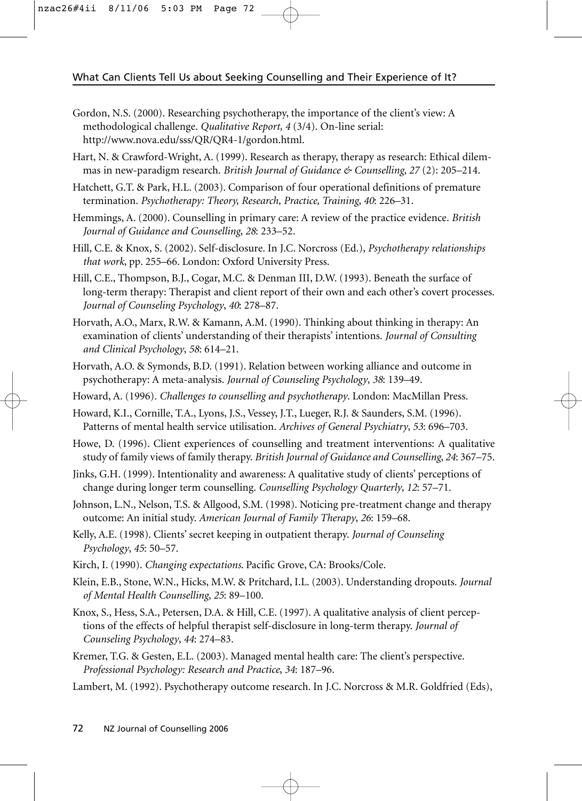- Gordon, N.S. (2000). Researching psychotherapy, the importance of the client's view: A methodological challenge. *Qualitative Report, 4* (3/4). On-line serial: http://www.nova.edu/sss/QR/QR4-1/gordon.html.
- Hart, N. & Crawford-Wright, A. (1999). Research as therapy, therapy as research: Ethical dilemmas in new-paradigm research. *British Journal of Guidance & Counselling*, *27* (2): 205–214.
- Hatchett, G.T. & Park, H.L. (2003). Comparison of four operational definitions of premature termination. *Psychotherapy: Theory, Research, Practice, Training*, *40*: 226–31.
- Hemmings, A. (2000). Counselling in primary care: A review of the practice evidence. *British Journal of Guidance and Counselling*, *28*: 233–52.
- Hill, C.E. & Knox, S. (2002). Self-disclosure. In J.C. Norcross (Ed.), *Psychotherapy relationships that work*, pp. 255–66. London: Oxford University Press.
- Hill, C.E., Thompson, B.J., Cogar, M.C. & Denman III, D.W. (1993). Beneath the surface of long-term therapy: Therapist and client report of their own and each other's covert processes. *Journal of Counseling Psychology*, *40*: 278–87.
- Horvath, A.O., Marx, R.W. & Kamann, A.M. (1990). Thinking about thinking in therapy: An examination of clients' understanding of their therapists' intentions. *Journal of Consulting and Clinical Psychology*, *58*: 614–21.
- Horvath, A.O. & Symonds, B.D. (1991). Relation between working alliance and outcome in psychotherapy: A meta-analysis. *Journal of Counseling Psychology*, *38*: 139–49.
- Howard, A. (1996). *Challenges to counselling and psychotherapy*. London: MacMillan Press.
- Howard, K.I., Cornille, T.A., Lyons, J.S., Vessey, J.T., Lueger, R.J. & Saunders, S.M. (1996). Patterns of mental health service utilisation. *Archives of General Psychiatry*, *53*: 696–703.
- Howe, D. (1996). Client experiences of counselling and treatment interventions: A qualitative study of family views of family therapy. *British Journal of Guidance and Counselling*, *24*: 367–75.
- Jinks, G.H. (1999). Intentionality and awareness: A qualitative study of clients' perceptions of change during longer term counselling. *Counselling Psychology Quarterly*, *12*: 57–71.
- Johnson, L.N., Nelson, T.S. & Allgood, S.M. (1998). Noticing pre-treatment change and therapy outcome: An initial study. *American Journal of Family Therapy*, *26*: 159–68.
- Kelly, A.E. (1998). Clients' secret keeping in outpatient therapy. *Journal of Counseling Psychology*, *45*: 50–57.
- Kirch, I. (1990). *Changing expectations*. Pacific Grove, CA: Brooks/Cole.
- Klein, E.B., Stone, W.N., Hicks, M.W. & Pritchard, I.L. (2003). Understanding dropouts. *Journal of Mental Health Counselling*, *25*: 89–100.
- Knox, S., Hess, S.A., Petersen, D.A. & Hill, C.E. (1997). A qualitative analysis of client perceptions of the effects of helpful therapist self-disclosure in long-term therapy. *Journal of Counseling Psychology*, *44*: 274–83.
- Kremer, T.G. & Gesten, E.L. (2003). Managed mental health care: The client's perspective. *Professional Psychology: Research and Practice*, *34*: 187–96.
- Lambert, M. (1992). Psychotherapy outcome research. In J.C. Norcross & M.R. Goldfried (Eds),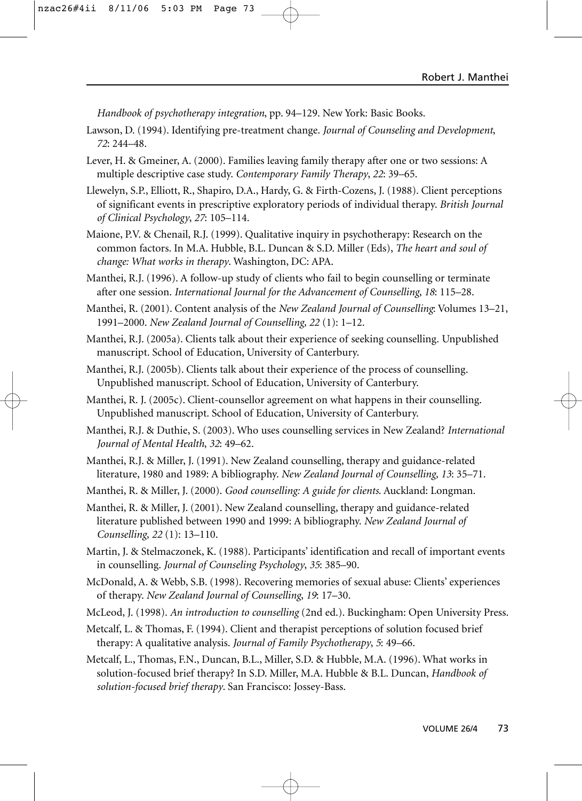*Handbook of psychotherapy integration*, pp. 94–129. New York: Basic Books.

- Lawson, D. (1994). Identifying pre-treatment change. *Journal of Counseling and Development*, *72*: 244–48.
- Lever, H. & Gmeiner, A. (2000). Families leaving family therapy after one or two sessions: A multiple descriptive case study. *Contemporary Family Therapy*, *22*: 39–65.
- Llewelyn, S.P., Elliott, R., Shapiro, D.A., Hardy, G. & Firth-Cozens, J. (1988). Client perceptions of significant events in prescriptive exploratory periods of individual therapy. *British Journal of Clinical Psychology*, *27*: 105–114.
- Maione, P.V. & Chenail, R.J. (1999). Qualitative inquiry in psychotherapy: Research on the common factors. In M.A. Hubble, B.L. Duncan & S.D. Miller (Eds), *The heart and soul of change: What works in therapy*. Washington, DC: APA.
- Manthei, R.J. (1996). A follow-up study of clients who fail to begin counselling or terminate after one session. *International Journal for the Advancement of Counselling*, *18*: 115–28.
- Manthei, R. (2001). Content analysis of the *New Zealand Journal of Counselling*: Volumes 13–21, 1991–2000. *New Zealand Journal of Counselling, 22* (1): 1–12.
- Manthei, R.J. (2005a). Clients talk about their experience of seeking counselling. Unpublished manuscript. School of Education, University of Canterbury.
- Manthei, R.J. (2005b). Clients talk about their experience of the process of counselling. Unpublished manuscript. School of Education, University of Canterbury.
- Manthei, R. J. (2005c). Client-counsellor agreement on what happens in their counselling. Unpublished manuscript. School of Education, University of Canterbury.
- Manthei, R.J. & Duthie, S. (2003). Who uses counselling services in New Zealand? *International Journal of Mental Health*, *32*: 49–62.
- Manthei, R.J. & Miller, J. (1991). New Zealand counselling, therapy and guidance-related literature, 1980 and 1989: A bibliography. *New Zealand Journal of Counselling, 13*: 35–71.
- Manthei, R. & Miller, J. (2000). *Good counselling: A guide for clients*. Auckland: Longman.
- Manthei, R. & Miller, J. (2001). New Zealand counselling, therapy and guidance-related literature published between 1990 and 1999: A bibliography. *New Zealand Journal of Counselling, 22* (1): 13–110.
- Martin, J. & Stelmaczonek, K. (1988). Participants' identification and recall of important events in counselling. *Journal of Counseling Psychology*, *35*: 385–90.
- McDonald, A. & Webb, S.B. (1998). Recovering memories of sexual abuse: Clients' experiences of therapy. *New Zealand Journal of Counselling*, *19*: 17–30.
- McLeod, J. (1998). *An introduction to counselling* (2nd ed.). Buckingham: Open University Press.
- Metcalf, L. & Thomas, F. (1994). Client and therapist perceptions of solution focused brief therapy: A qualitative analysis. *Journal of Family Psychotherapy*, *5*: 49–66.
- Metcalf, L., Thomas, F.N., Duncan, B.L., Miller, S.D. & Hubble, M.A. (1996). What works in solution-focused brief therapy? In S.D. Miller, M.A. Hubble & B.L. Duncan, *Handbook of solution-focused brief therapy*. San Francisco: Jossey-Bass.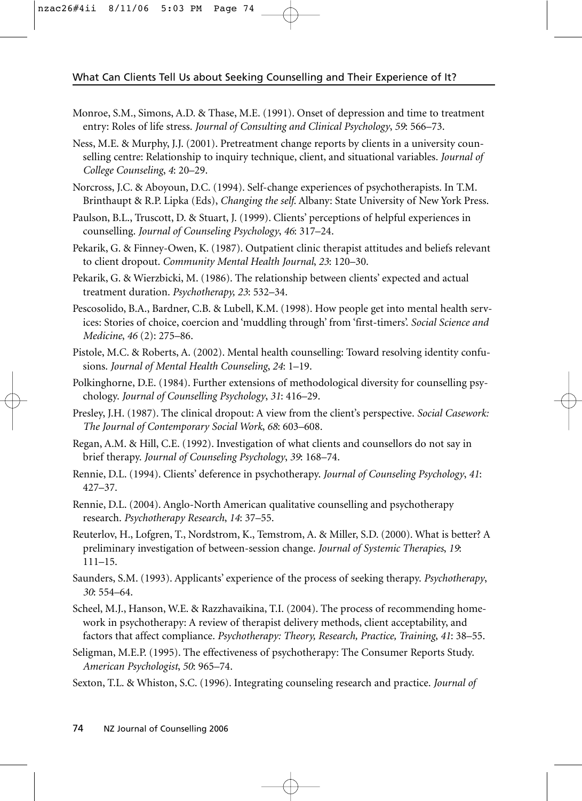- Monroe, S.M., Simons, A.D. & Thase, M.E. (1991). Onset of depression and time to treatment entry: Roles of life stress. *Journal of Consulting and Clinical Psychology*, *59*: 566–73.
- Ness, M.E. & Murphy, J.J. (2001). Pretreatment change reports by clients in a university counselling centre: Relationship to inquiry technique, client, and situational variables. *Journal of College Counseling*, *4*: 20–29.
- Norcross, J.C. & Aboyoun, D.C. (1994). Self-change experiences of psychotherapists. In T.M. Brinthaupt & R.P. Lipka (Eds), *Changing the self*. Albany: State University of New York Press.
- Paulson, B.L., Truscott, D. & Stuart, J. (1999). Clients' perceptions of helpful experiences in counselling. *Journal of Counseling Psychology*, *46*: 317–24.
- Pekarik, G. & Finney-Owen, K. (1987). Outpatient clinic therapist attitudes and beliefs relevant to client dropout. *Community Mental Health Journal*, *23*: 120–30.
- Pekarik, G. & Wierzbicki, M. (1986). The relationship between clients' expected and actual treatment duration. *Psychotherapy, 23*: 532–34.
- Pescosolido, B.A., Bardner, C.B. & Lubell, K.M. (1998). How people get into mental health services: Stories of choice, coercion and 'muddling through' from 'first-timers'. *Social Science and Medicine*, *46* (2): 275–86.
- Pistole, M.C. & Roberts, A. (2002). Mental health counselling: Toward resolving identity confusions. *Journal of Mental Health Counseling*, *24*: 1–19.
- Polkinghorne, D.E. (1984). Further extensions of methodological diversity for counselling psychology. *Journal of Counselling Psychology*, *31*: 416–29.
- Presley, J.H. (1987). The clinical dropout: A view from the client's perspective. *Social Casework: The Journal of Contemporary Social Work*, *68*: 603–608.
- Regan, A.M. & Hill, C.E. (1992). Investigation of what clients and counsellors do not say in brief therapy. *Journal of Counseling Psychology*, *39*: 168–74.
- Rennie, D.L. (1994). Clients' deference in psychotherapy. *Journal of Counseling Psychology*, *41*: 427–37.
- Rennie, D.L. (2004). Anglo-North American qualitative counselling and psychotherapy research. *Psychotherapy Research*, *14*: 37–55.
- Reuterlov, H., Lofgren, T., Nordstrom, K., Temstrom, A. & Miller, S.D. (2000). What is better? A preliminary investigation of between-session change. *Journal of Systemic Therapies*, *19*: 111–15.
- Saunders, S.M. (1993). Applicants' experience of the process of seeking therapy. *Psychotherapy*, *30*: 554–64.
- Scheel, M.J., Hanson, W.E. & Razzhavaikina, T.I. (2004). The process of recommending homework in psychotherapy: A review of therapist delivery methods, client acceptability, and factors that affect compliance. *Psychotherapy: Theory, Research, Practice, Training*, *41*: 38–55.
- Seligman, M.E.P. (1995). The effectiveness of psychotherapy: The Consumer Reports Study. *American Psychologist*, *50*: 965–74.
- Sexton, T.L. & Whiston, S.C. (1996). Integrating counseling research and practice. *Journal of*